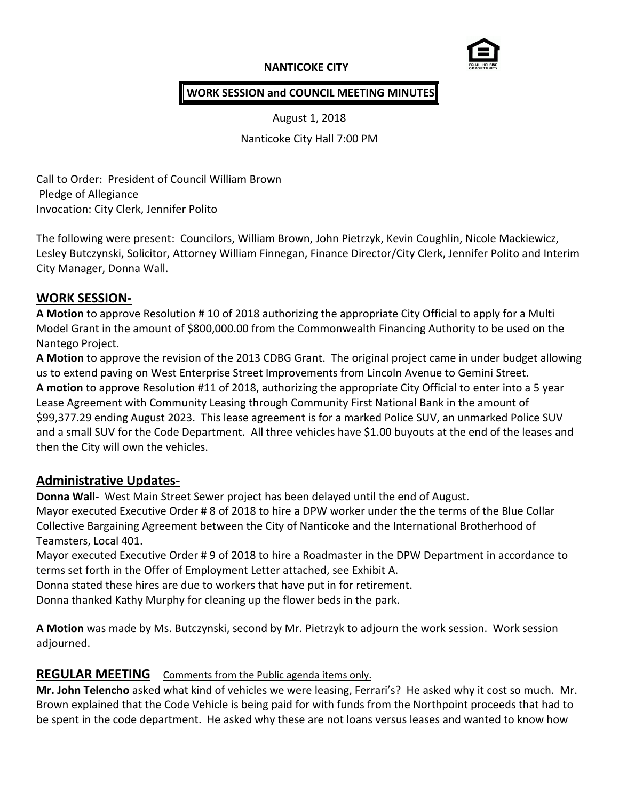## **NANTICOKE CITY**



#### **WORK SESSION and COUNCIL MEETING MINUTES**

August 1, 2018

Nanticoke City Hall 7:00 PM

Call to Order: President of Council William Brown Pledge of Allegiance Invocation: City Clerk, Jennifer Polito

The following were present: Councilors, William Brown, John Pietrzyk, Kevin Coughlin, Nicole Mackiewicz, Lesley Butczynski, Solicitor, Attorney William Finnegan, Finance Director/City Clerk, Jennifer Polito and Interim City Manager, Donna Wall.

### **WORK SESSION-**

**A Motion** to approve Resolution # 10 of 2018 authorizing the appropriate City Official to apply for a Multi Model Grant in the amount of \$800,000.00 from the Commonwealth Financing Authority to be used on the Nantego Project.

**A Motion** to approve the revision of the 2013 CDBG Grant. The original project came in under budget allowing us to extend paving on West Enterprise Street Improvements from Lincoln Avenue to Gemini Street. **A motion** to approve Resolution #11 of 2018, authorizing the appropriate City Official to enter into a 5 year Lease Agreement with Community Leasing through Community First National Bank in the amount of \$99,377.29 ending August 2023. This lease agreement is for a marked Police SUV, an unmarked Police SUV and a small SUV for the Code Department. All three vehicles have \$1.00 buyouts at the end of the leases and then the City will own the vehicles.

### **Administrative Updates-**

**Donna Wall-** West Main Street Sewer project has been delayed until the end of August. Mayor executed Executive Order # 8 of 2018 to hire a DPW worker under the the terms of the Blue Collar Collective Bargaining Agreement between the City of Nanticoke and the International Brotherhood of Teamsters, Local 401.

Mayor executed Executive Order # 9 of 2018 to hire a Roadmaster in the DPW Department in accordance to terms set forth in the Offer of Employment Letter attached, see Exhibit A.

Donna stated these hires are due to workers that have put in for retirement.

Donna thanked Kathy Murphy for cleaning up the flower beds in the park.

**A Motion** was made by Ms. Butczynski, second by Mr. Pietrzyk to adjourn the work session. Work session adjourned.

### **REGULAR MEETING** Comments from the Public agenda items only.

**Mr. John Telencho** asked what kind of vehicles we were leasing, Ferrari's? He asked why it cost so much. Mr. Brown explained that the Code Vehicle is being paid for with funds from the Northpoint proceeds that had to be spent in the code department. He asked why these are not loans versus leases and wanted to know how